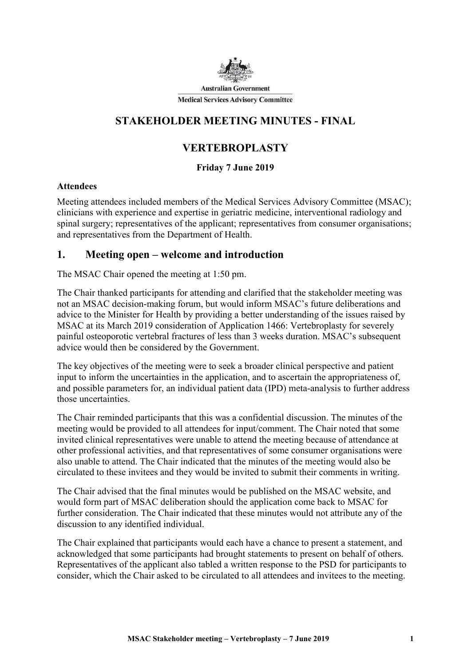

## STAKEHOLDER MEETING MINUTES - FINAL

# VERTEBROPLASTY

### Friday 7 June 2019

### **Attendees**

Meeting attendees included members of the Medical Services Advisory Committee (MSAC); clinicians with experience and expertise in geriatric medicine, interventional radiology and spinal surgery; representatives of the applicant; representatives from consumer organisations; and representatives from the Department of Health.

### 1. Meeting open – welcome and introduction

The MSAC Chair opened the meeting at 1:50 pm.

The Chair thanked participants for attending and clarified that the stakeholder meeting was not an MSAC decision-making forum, but would inform MSAC's future deliberations and advice to the Minister for Health by providing a better understanding of the issues raised by MSAC at its March 2019 consideration of Application 1466: Vertebroplasty for severely painful osteoporotic vertebral fractures of less than 3 weeks duration. MSAC's subsequent advice would then be considered by the Government.

The key objectives of the meeting were to seek a broader clinical perspective and patient input to inform the uncertainties in the application, and to ascertain the appropriateness of, and possible parameters for, an individual patient data (IPD) meta-analysis to further address those uncertainties.

The Chair reminded participants that this was a confidential discussion. The minutes of the meeting would be provided to all attendees for input/comment. The Chair noted that some invited clinical representatives were unable to attend the meeting because of attendance at other professional activities, and that representatives of some consumer organisations were also unable to attend. The Chair indicated that the minutes of the meeting would also be circulated to these invitees and they would be invited to submit their comments in writing.

The Chair advised that the final minutes would be published on the MSAC website, and would form part of MSAC deliberation should the application come back to MSAC for further consideration. The Chair indicated that these minutes would not attribute any of the discussion to any identified individual.

The Chair explained that participants would each have a chance to present a statement, and acknowledged that some participants had brought statements to present on behalf of others. Representatives of the applicant also tabled a written response to the PSD for participants to consider, which the Chair asked to be circulated to all attendees and invitees to the meeting.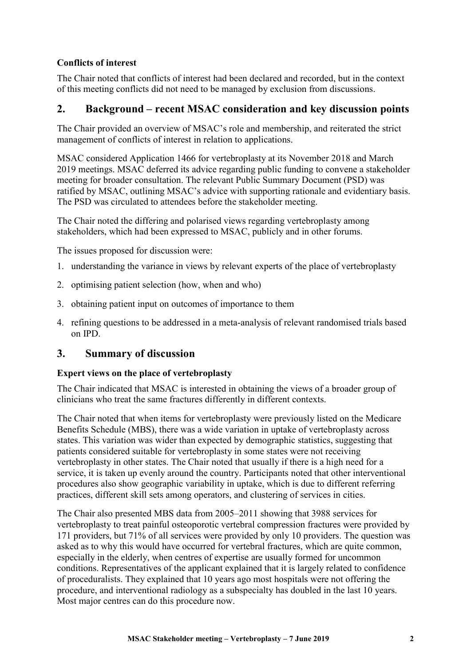### Conflicts of interest

The Chair noted that conflicts of interest had been declared and recorded, but in the context of this meeting conflicts did not need to be managed by exclusion from discussions.

### 2. Background – recent MSAC consideration and key discussion points

The Chair provided an overview of MSAC's role and membership, and reiterated the strict management of conflicts of interest in relation to applications.

MSAC considered Application 1466 for vertebroplasty at its November 2018 and March 2019 meetings. MSAC deferred its advice regarding public funding to convene a stakeholder meeting for broader consultation. The relevant Public Summary Document (PSD) was ratified by MSAC, outlining MSAC's advice with supporting rationale and evidentiary basis. The PSD was circulated to attendees before the stakeholder meeting.

The Chair noted the differing and polarised views regarding vertebroplasty among stakeholders, which had been expressed to MSAC, publicly and in other forums.

The issues proposed for discussion were:

- 1. understanding the variance in views by relevant experts of the place of vertebroplasty
- 2. optimising patient selection (how, when and who)
- 3. obtaining patient input on outcomes of importance to them
- 4. refining questions to be addressed in a meta-analysis of relevant randomised trials based on IPD.

### 3. Summary of discussion

#### Expert views on the place of vertebroplasty

The Chair indicated that MSAC is interested in obtaining the views of a broader group of clinicians who treat the same fractures differently in different contexts.

The Chair noted that when items for vertebroplasty were previously listed on the Medicare Benefits Schedule (MBS), there was a wide variation in uptake of vertebroplasty across states. This variation was wider than expected by demographic statistics, suggesting that patients considered suitable for vertebroplasty in some states were not receiving vertebroplasty in other states. The Chair noted that usually if there is a high need for a service, it is taken up evenly around the country. Participants noted that other interventional procedures also show geographic variability in uptake, which is due to different referring practices, different skill sets among operators, and clustering of services in cities.

The Chair also presented MBS data from 2005–2011 showing that 3988 services for vertebroplasty to treat painful osteoporotic vertebral compression fractures were provided by 171 providers, but 71% of all services were provided by only 10 providers. The question was asked as to why this would have occurred for vertebral fractures, which are quite common, especially in the elderly, when centres of expertise are usually formed for uncommon conditions. Representatives of the applicant explained that it is largely related to confidence of proceduralists. They explained that 10 years ago most hospitals were not offering the procedure, and interventional radiology as a subspecialty has doubled in the last 10 years. Most major centres can do this procedure now.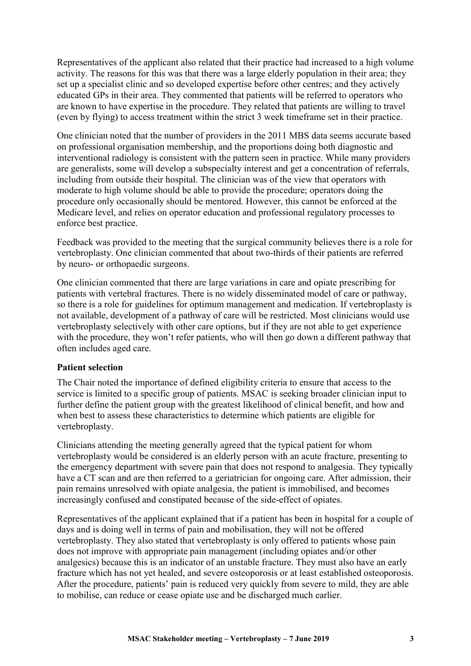Representatives of the applicant also related that their practice had increased to a high volume activity. The reasons for this was that there was a large elderly population in their area; they set up a specialist clinic and so developed expertise before other centres; and they actively educated GPs in their area. They commented that patients will be referred to operators who are known to have expertise in the procedure. They related that patients are willing to travel (even by flying) to access treatment within the strict 3 week timeframe set in their practice.

One clinician noted that the number of providers in the 2011 MBS data seems accurate based on professional organisation membership, and the proportions doing both diagnostic and interventional radiology is consistent with the pattern seen in practice. While many providers are generalists, some will develop a subspecialty interest and get a concentration of referrals, including from outside their hospital. The clinician was of the view that operators with moderate to high volume should be able to provide the procedure; operators doing the procedure only occasionally should be mentored. However, this cannot be enforced at the Medicare level, and relies on operator education and professional regulatory processes to enforce best practice.

Feedback was provided to the meeting that the surgical community believes there is a role for vertebroplasty. One clinician commented that about two-thirds of their patients are referred by neuro- or orthopaedic surgeons.

One clinician commented that there are large variations in care and opiate prescribing for patients with vertebral fractures. There is no widely disseminated model of care or pathway, so there is a role for guidelines for optimum management and medication. If vertebroplasty is not available, development of a pathway of care will be restricted. Most clinicians would use vertebroplasty selectively with other care options, but if they are not able to get experience with the procedure, they won't refer patients, who will then go down a different pathway that often includes aged care.

#### Patient selection

The Chair noted the importance of defined eligibility criteria to ensure that access to the service is limited to a specific group of patients. MSAC is seeking broader clinician input to further define the patient group with the greatest likelihood of clinical benefit, and how and when best to assess these characteristics to determine which patients are eligible for vertebroplasty.

Clinicians attending the meeting generally agreed that the typical patient for whom vertebroplasty would be considered is an elderly person with an acute fracture, presenting to the emergency department with severe pain that does not respond to analgesia. They typically have a CT scan and are then referred to a geriatrician for ongoing care. After admission, their pain remains unresolved with opiate analgesia, the patient is immobilised, and becomes increasingly confused and constipated because of the side-effect of opiates.

Representatives of the applicant explained that if a patient has been in hospital for a couple of days and is doing well in terms of pain and mobilisation, they will not be offered vertebroplasty. They also stated that vertebroplasty is only offered to patients whose pain does not improve with appropriate pain management (including opiates and/or other analgesics) because this is an indicator of an unstable fracture. They must also have an early fracture which has not yet healed, and severe osteoporosis or at least established osteoporosis. After the procedure, patients' pain is reduced very quickly from severe to mild, they are able to mobilise, can reduce or cease opiate use and be discharged much earlier.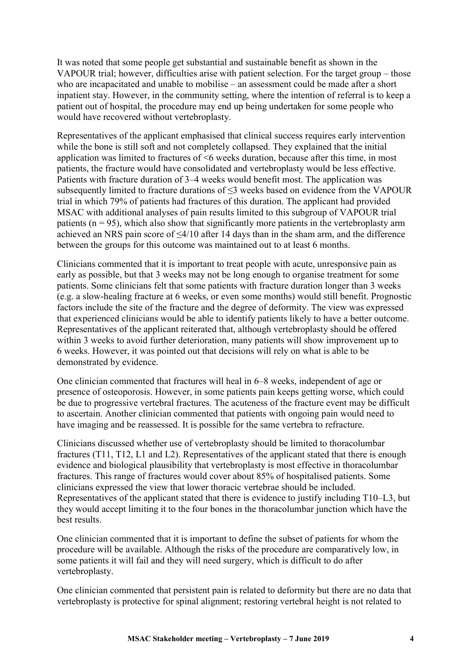It was noted that some people get substantial and sustainable benefit as shown in the VAPOUR trial; however, difficulties arise with patient selection. For the target group – those who are incapacitated and unable to mobilise – an assessment could be made after a short inpatient stay. However, in the community setting, where the intention of referral is to keep a patient out of hospital, the procedure may end up being undertaken for some people who would have recovered without vertebroplasty.

Representatives of the applicant emphasised that clinical success requires early intervention while the bone is still soft and not completely collapsed. They explained that the initial application was limited to fractures of <6 weeks duration, because after this time, in most patients, the fracture would have consolidated and vertebroplasty would be less effective. Patients with fracture duration of 3–4 weeks would benefit most. The application was subsequently limited to fracture durations of ≤3 weeks based on evidence from the VAPOUR trial in which 79% of patients had fractures of this duration. The applicant had provided MSAC with additional analyses of pain results limited to this subgroup of VAPOUR trial patients ( $n = 95$ ), which also show that significantly more patients in the vertebroplasty arm achieved an NRS pain score of  $\leq 4/10$  after 14 days than in the sham arm, and the difference between the groups for this outcome was maintained out to at least 6 months.

Clinicians commented that it is important to treat people with acute, unresponsive pain as early as possible, but that 3 weeks may not be long enough to organise treatment for some patients. Some clinicians felt that some patients with fracture duration longer than 3 weeks (e.g. a slow-healing fracture at 6 weeks, or even some months) would still benefit. Prognostic factors include the site of the fracture and the degree of deformity. The view was expressed that experienced clinicians would be able to identify patients likely to have a better outcome. Representatives of the applicant reiterated that, although vertebroplasty should be offered within 3 weeks to avoid further deterioration, many patients will show improvement up to 6 weeks. However, it was pointed out that decisions will rely on what is able to be demonstrated by evidence.

One clinician commented that fractures will heal in 6–8 weeks, independent of age or presence of osteoporosis. However, in some patients pain keeps getting worse, which could be due to progressive vertebral fractures. The acuteness of the fracture event may be difficult to ascertain. Another clinician commented that patients with ongoing pain would need to have imaging and be reassessed. It is possible for the same vertebra to refracture.

Clinicians discussed whether use of vertebroplasty should be limited to thoracolumbar fractures (T11, T12, L1 and L2). Representatives of the applicant stated that there is enough evidence and biological plausibility that vertebroplasty is most effective in thoracolumbar fractures. This range of fractures would cover about 85% of hospitalised patients. Some clinicians expressed the view that lower thoracic vertebrae should be included. Representatives of the applicant stated that there is evidence to justify including T10–L3, but they would accept limiting it to the four bones in the thoracolumbar junction which have the best results.

One clinician commented that it is important to define the subset of patients for whom the procedure will be available. Although the risks of the procedure are comparatively low, in some patients it will fail and they will need surgery, which is difficult to do after vertebroplasty.

One clinician commented that persistent pain is related to deformity but there are no data that vertebroplasty is protective for spinal alignment; restoring vertebral height is not related to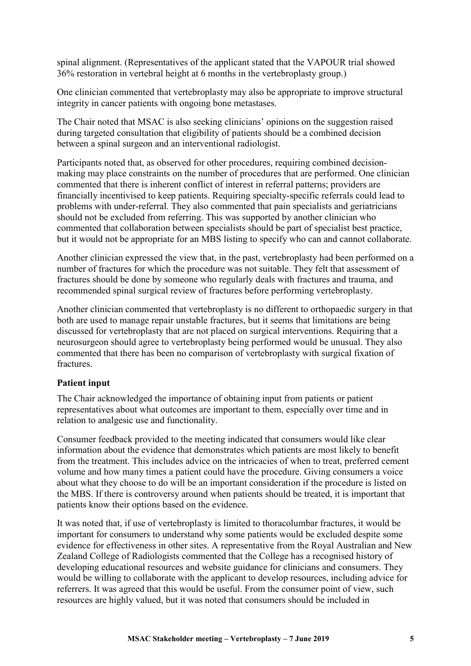spinal alignment. (Representatives of the applicant stated that the VAPOUR trial showed 36% restoration in vertebral height at 6 months in the vertebroplasty group.)

One clinician commented that vertebroplasty may also be appropriate to improve structural integrity in cancer patients with ongoing bone metastases.

The Chair noted that MSAC is also seeking clinicians' opinions on the suggestion raised during targeted consultation that eligibility of patients should be a combined decision between a spinal surgeon and an interventional radiologist.

Participants noted that, as observed for other procedures, requiring combined decisionmaking may place constraints on the number of procedures that are performed. One clinician commented that there is inherent conflict of interest in referral patterns; providers are financially incentivised to keep patients. Requiring specialty-specific referrals could lead to problems with under-referral. They also commented that pain specialists and geriatricians should not be excluded from referring. This was supported by another clinician who commented that collaboration between specialists should be part of specialist best practice, but it would not be appropriate for an MBS listing to specify who can and cannot collaborate.

Another clinician expressed the view that, in the past, vertebroplasty had been performed on a number of fractures for which the procedure was not suitable. They felt that assessment of fractures should be done by someone who regularly deals with fractures and trauma, and recommended spinal surgical review of fractures before performing vertebroplasty.

Another clinician commented that vertebroplasty is no different to orthopaedic surgery in that both are used to manage repair unstable fractures, but it seems that limitations are being discussed for vertebroplasty that are not placed on surgical interventions. Requiring that a neurosurgeon should agree to vertebroplasty being performed would be unusual. They also commented that there has been no comparison of vertebroplasty with surgical fixation of fractures.

#### Patient input

The Chair acknowledged the importance of obtaining input from patients or patient representatives about what outcomes are important to them, especially over time and in relation to analgesic use and functionality.

Consumer feedback provided to the meeting indicated that consumers would like clear information about the evidence that demonstrates which patients are most likely to benefit from the treatment. This includes advice on the intricacies of when to treat, preferred cement volume and how many times a patient could have the procedure. Giving consumers a voice about what they choose to do will be an important consideration if the procedure is listed on the MBS. If there is controversy around when patients should be treated, it is important that patients know their options based on the evidence.

It was noted that, if use of vertebroplasty is limited to thoracolumbar fractures, it would be important for consumers to understand why some patients would be excluded despite some evidence for effectiveness in other sites. A representative from the Royal Australian and New Zealand College of Radiologists commented that the College has a recognised history of developing educational resources and website guidance for clinicians and consumers. They would be willing to collaborate with the applicant to develop resources, including advice for referrers. It was agreed that this would be useful. From the consumer point of view, such resources are highly valued, but it was noted that consumers should be included in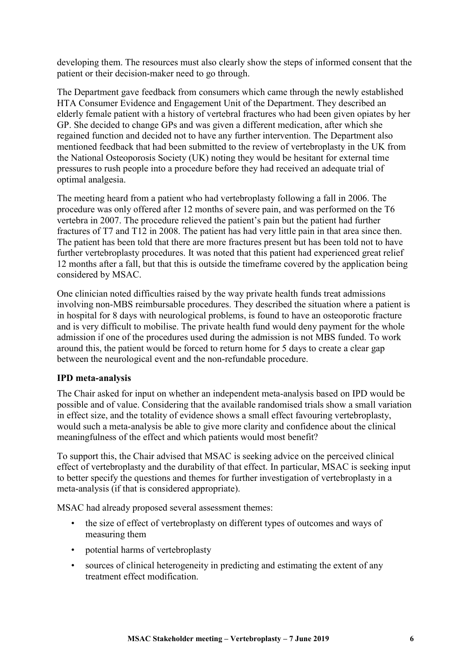developing them. The resources must also clearly show the steps of informed consent that the patient or their decision-maker need to go through.

The Department gave feedback from consumers which came through the newly established HTA Consumer Evidence and Engagement Unit of the Department. They described an elderly female patient with a history of vertebral fractures who had been given opiates by her GP. She decided to change GPs and was given a different medication, after which she regained function and decided not to have any further intervention. The Department also mentioned feedback that had been submitted to the review of vertebroplasty in the UK from the National Osteoporosis Society (UK) noting they would be hesitant for external time pressures to rush people into a procedure before they had received an adequate trial of optimal analgesia.

The meeting heard from a patient who had vertebroplasty following a fall in 2006. The procedure was only offered after 12 months of severe pain, and was performed on the T6 vertebra in 2007. The procedure relieved the patient's pain but the patient had further fractures of T7 and T12 in 2008. The patient has had very little pain in that area since then. The patient has been told that there are more fractures present but has been told not to have further vertebroplasty procedures. It was noted that this patient had experienced great relief 12 months after a fall, but that this is outside the timeframe covered by the application being considered by MSAC.

One clinician noted difficulties raised by the way private health funds treat admissions involving non-MBS reimbursable procedures. They described the situation where a patient is in hospital for 8 days with neurological problems, is found to have an osteoporotic fracture and is very difficult to mobilise. The private health fund would deny payment for the whole admission if one of the procedures used during the admission is not MBS funded. To work around this, the patient would be forced to return home for 5 days to create a clear gap between the neurological event and the non-refundable procedure.

#### IPD meta-analysis

The Chair asked for input on whether an independent meta-analysis based on IPD would be possible and of value. Considering that the available randomised trials show a small variation in effect size, and the totality of evidence shows a small effect favouring vertebroplasty, would such a meta-analysis be able to give more clarity and confidence about the clinical meaningfulness of the effect and which patients would most benefit?

To support this, the Chair advised that MSAC is seeking advice on the perceived clinical effect of vertebroplasty and the durability of that effect. In particular, MSAC is seeking input to better specify the questions and themes for further investigation of vertebroplasty in a meta-analysis (if that is considered appropriate).

MSAC had already proposed several assessment themes:

- the size of effect of vertebroplasty on different types of outcomes and ways of measuring them
- potential harms of vertebroplasty
- sources of clinical heterogeneity in predicting and estimating the extent of any treatment effect modification.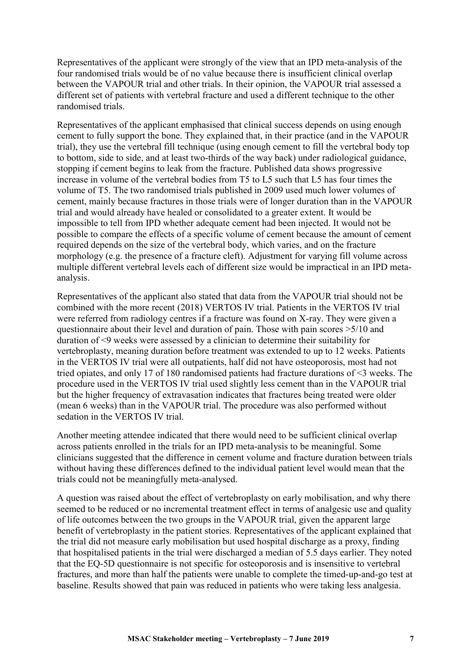Representatives of the applicant were strongly of the view that an IPD meta-analysis of the four randomised trials would be of no value because there is insufficient clinical overlap between the VAPOUR trial and other trials. In their opinion, the VAPOUR trial assessed a different set of patients with vertebral fracture and used a different technique to the other randomised trials.

Representatives of the applicant emphasised that clinical success depends on using enough cement to fully support the bone. They explained that, in their practice (and in the VAPOUR trial), they use the vertebral fill technique (using enough cement to fill the vertebral body top to bottom, side to side, and at least two-thirds of the way back) under radiological guidance, stopping if cement begins to leak from the fracture. Published data shows progressive increase in volume of the vertebral bodies from T5 to L5 such that L5 has four times the volume of T5. The two randomised trials published in 2009 used much lower volumes of cement, mainly because fractures in those trials were of longer duration than in the VAPOUR trial and would already have healed or consolidated to a greater extent. It would be impossible to tell from IPD whether adequate cement had been injected. It would not be possible to compare the effects of a specific volume of cement because the amount of cement required depends on the size of the vertebral body, which varies, and on the fracture morphology (e.g. the presence of a fracture cleft). Adjustment for varying fill volume across multiple different vertebral levels each of different size would be impractical in an IPD metaanalysis.

Representatives of the applicant also stated that data from the VAPOUR trial should not be combined with the more recent (2018) VERTOS IV trial. Patients in the VERTOS IV trial were referred from radiology centres if a fracture was found on X-ray. They were given a questionnaire about their level and duration of pain. Those with pain scores >5/10 and duration of <9 weeks were assessed by a clinician to determine their suitability for vertebroplasty, meaning duration before treatment was extended to up to 12 weeks. Patients in the VERTOS IV trial were all outpatients, half did not have osteoporosis, most had not tried opiates, and only 17 of 180 randomised patients had fracture durations of <3 weeks. The procedure used in the VERTOS IV trial used slightly less cement than in the VAPOUR trial but the higher frequency of extravasation indicates that fractures being treated were older (mean 6 weeks) than in the VAPOUR trial. The procedure was also performed without sedation in the VERTOS IV trial.

Another meeting attendee indicated that there would need to be sufficient clinical overlap across patients enrolled in the trials for an IPD meta-analysis to be meaningful. Some clinicians suggested that the difference in cement volume and fracture duration between trials without having these differences defined to the individual patient level would mean that the trials could not be meaningfully meta-analysed.

A question was raised about the effect of vertebroplasty on early mobilisation, and why there seemed to be reduced or no incremental treatment effect in terms of analgesic use and quality of life outcomes between the two groups in the VAPOUR trial, given the apparent large benefit of vertebroplasty in the patient stories. Representatives of the applicant explained that the trial did not measure early mobilisation but used hospital discharge as a proxy, finding that hospitalised patients in the trial were discharged a median of 5.5 days earlier. They noted that the EQ-5D questionnaire is not specific for osteoporosis and is insensitive to vertebral fractures, and more than half the patients were unable to complete the timed-up-and-go test at baseline. Results showed that pain was reduced in patients who were taking less analgesia.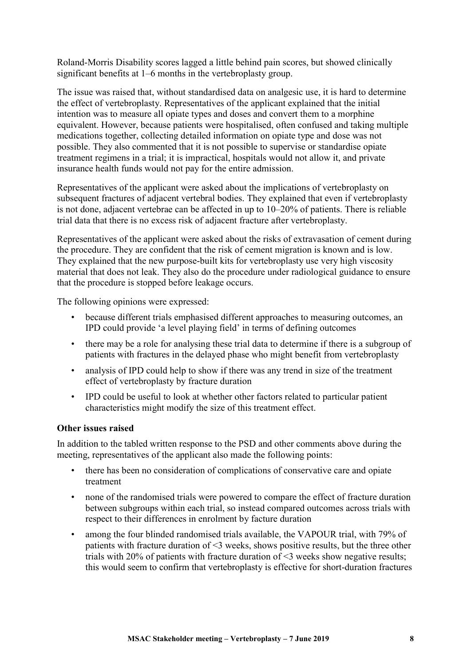Roland-Morris Disability scores lagged a little behind pain scores, but showed clinically significant benefits at 1–6 months in the vertebroplasty group.

The issue was raised that, without standardised data on analgesic use, it is hard to determine the effect of vertebroplasty. Representatives of the applicant explained that the initial intention was to measure all opiate types and doses and convert them to a morphine equivalent. However, because patients were hospitalised, often confused and taking multiple medications together, collecting detailed information on opiate type and dose was not possible. They also commented that it is not possible to supervise or standardise opiate treatment regimens in a trial; it is impractical, hospitals would not allow it, and private insurance health funds would not pay for the entire admission.

Representatives of the applicant were asked about the implications of vertebroplasty on subsequent fractures of adjacent vertebral bodies. They explained that even if vertebroplasty is not done, adjacent vertebrae can be affected in up to 10–20% of patients. There is reliable trial data that there is no excess risk of adjacent fracture after vertebroplasty.

Representatives of the applicant were asked about the risks of extravasation of cement during the procedure. They are confident that the risk of cement migration is known and is low. They explained that the new purpose-built kits for vertebroplasty use very high viscosity material that does not leak. They also do the procedure under radiological guidance to ensure that the procedure is stopped before leakage occurs.

The following opinions were expressed:

- because different trials emphasised different approaches to measuring outcomes, an IPD could provide 'a level playing field' in terms of defining outcomes
- there may be a role for analysing these trial data to determine if there is a subgroup of patients with fractures in the delayed phase who might benefit from vertebroplasty
- analysis of IPD could help to show if there was any trend in size of the treatment effect of vertebroplasty by fracture duration
- IPD could be useful to look at whether other factors related to particular patient characteristics might modify the size of this treatment effect.

#### Other issues raised

In addition to the tabled written response to the PSD and other comments above during the meeting, representatives of the applicant also made the following points:

- there has been no consideration of complications of conservative care and opiate treatment
- none of the randomised trials were powered to compare the effect of fracture duration between subgroups within each trial, so instead compared outcomes across trials with respect to their differences in enrolment by facture duration
- among the four blinded randomised trials available, the VAPOUR trial, with 79% of patients with fracture duration of <3 weeks, shows positive results, but the three other trials with 20% of patients with fracture duration of <3 weeks show negative results; this would seem to confirm that vertebroplasty is effective for short-duration fractures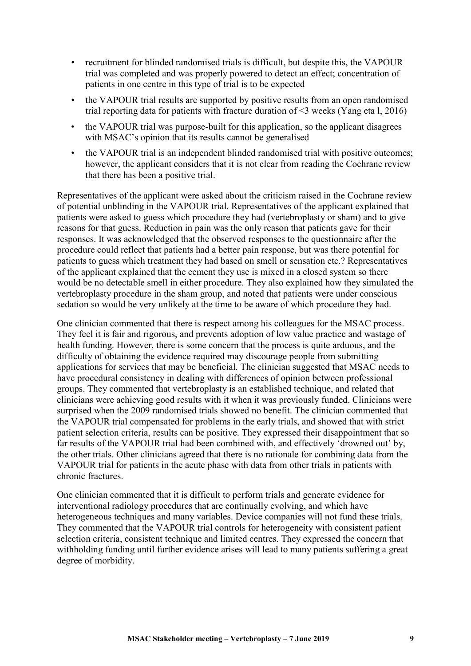- recruitment for blinded randomised trials is difficult, but despite this, the VAPOUR trial was completed and was properly powered to detect an effect; concentration of patients in one centre in this type of trial is to be expected
- the VAPOUR trial results are supported by positive results from an open randomised trial reporting data for patients with fracture duration of <3 weeks (Yang eta l, 2016)
- the VAPOUR trial was purpose-built for this application, so the applicant disagrees with MSAC's opinion that its results cannot be generalised
- the VAPOUR trial is an independent blinded randomised trial with positive outcomes; however, the applicant considers that it is not clear from reading the Cochrane review that there has been a positive trial.

Representatives of the applicant were asked about the criticism raised in the Cochrane review of potential unblinding in the VAPOUR trial. Representatives of the applicant explained that patients were asked to guess which procedure they had (vertebroplasty or sham) and to give reasons for that guess. Reduction in pain was the only reason that patients gave for their responses. It was acknowledged that the observed responses to the questionnaire after the procedure could reflect that patients had a better pain response, but was there potential for patients to guess which treatment they had based on smell or sensation etc.? Representatives of the applicant explained that the cement they use is mixed in a closed system so there would be no detectable smell in either procedure. They also explained how they simulated the vertebroplasty procedure in the sham group, and noted that patients were under conscious sedation so would be very unlikely at the time to be aware of which procedure they had.

One clinician commented that there is respect among his colleagues for the MSAC process. They feel it is fair and rigorous, and prevents adoption of low value practice and wastage of health funding. However, there is some concern that the process is quite arduous, and the difficulty of obtaining the evidence required may discourage people from submitting applications for services that may be beneficial. The clinician suggested that MSAC needs to have procedural consistency in dealing with differences of opinion between professional groups. They commented that vertebroplasty is an established technique, and related that clinicians were achieving good results with it when it was previously funded. Clinicians were surprised when the 2009 randomised trials showed no benefit. The clinician commented that the VAPOUR trial compensated for problems in the early trials, and showed that with strict patient selection criteria, results can be positive. They expressed their disappointment that so far results of the VAPOUR trial had been combined with, and effectively 'drowned out' by, the other trials. Other clinicians agreed that there is no rationale for combining data from the VAPOUR trial for patients in the acute phase with data from other trials in patients with chronic fractures.

One clinician commented that it is difficult to perform trials and generate evidence for interventional radiology procedures that are continually evolving, and which have heterogeneous techniques and many variables. Device companies will not fund these trials. They commented that the VAPOUR trial controls for heterogeneity with consistent patient selection criteria, consistent technique and limited centres. They expressed the concern that withholding funding until further evidence arises will lead to many patients suffering a great degree of morbidity.